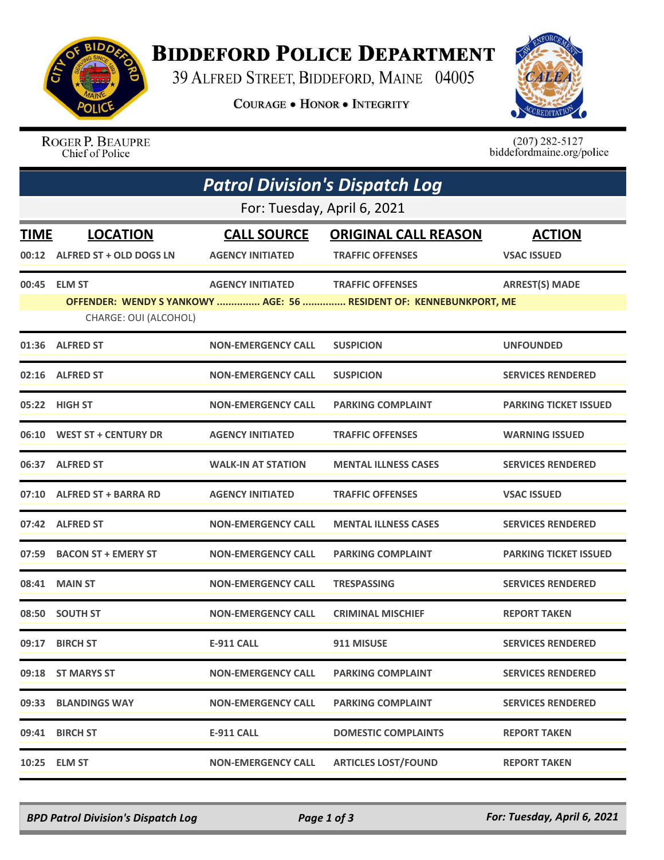

## **BIDDEFORD POLICE DEPARTMENT**

39 ALFRED STREET, BIDDEFORD, MAINE 04005

**COURAGE . HONOR . INTEGRITY** 



ROGER P. BEAUPRE Chief of Police

 $(207)$  282-5127<br>biddefordmaine.org/police

| <b>Patrol Division's Dispatch Log</b> |                               |                           |                                                                    |                              |  |  |  |
|---------------------------------------|-------------------------------|---------------------------|--------------------------------------------------------------------|------------------------------|--|--|--|
| For: Tuesday, April 6, 2021           |                               |                           |                                                                    |                              |  |  |  |
| <b>TIME</b>                           | <b>LOCATION</b>               | <b>CALL SOURCE</b>        | <b>ORIGINAL CALL REASON</b>                                        | <b>ACTION</b>                |  |  |  |
|                                       | 00:12 ALFRED ST + OLD DOGS LN | <b>AGENCY INITIATED</b>   | <b>TRAFFIC OFFENSES</b>                                            | <b>VSAC ISSUED</b>           |  |  |  |
|                                       | 00:45 ELM ST                  | <b>AGENCY INITIATED</b>   | <b>TRAFFIC OFFENSES</b>                                            | <b>ARREST(S) MADE</b>        |  |  |  |
|                                       | CHARGE: OUI (ALCOHOL)         |                           | OFFENDER: WENDY S YANKOWY  AGE: 56  RESIDENT OF: KENNEBUNKPORT, ME |                              |  |  |  |
|                                       | 01:36 ALFRED ST               | <b>NON-EMERGENCY CALL</b> | <b>SUSPICION</b>                                                   | <b>UNFOUNDED</b>             |  |  |  |
|                                       | 02:16 ALFRED ST               | <b>NON-EMERGENCY CALL</b> | <b>SUSPICION</b>                                                   | <b>SERVICES RENDERED</b>     |  |  |  |
|                                       | 05:22 HIGH ST                 | <b>NON-EMERGENCY CALL</b> | <b>PARKING COMPLAINT</b>                                           | <b>PARKING TICKET ISSUED</b> |  |  |  |
|                                       | 06:10 WEST ST + CENTURY DR    | <b>AGENCY INITIATED</b>   | <b>TRAFFIC OFFENSES</b>                                            | <b>WARNING ISSUED</b>        |  |  |  |
| 06:37                                 | <b>ALFRED ST</b>              | <b>WALK-IN AT STATION</b> | <b>MENTAL ILLNESS CASES</b>                                        | <b>SERVICES RENDERED</b>     |  |  |  |
|                                       | 07:10 ALFRED ST + BARRA RD    | <b>AGENCY INITIATED</b>   | <b>TRAFFIC OFFENSES</b>                                            | <b>VSAC ISSUED</b>           |  |  |  |
|                                       | 07:42 ALFRED ST               | <b>NON-EMERGENCY CALL</b> | <b>MENTAL ILLNESS CASES</b>                                        | <b>SERVICES RENDERED</b>     |  |  |  |
|                                       | 07:59 BACON ST + EMERY ST     | <b>NON-EMERGENCY CALL</b> | <b>PARKING COMPLAINT</b>                                           | <b>PARKING TICKET ISSUED</b> |  |  |  |
|                                       | 08:41 MAIN ST                 | <b>NON-EMERGENCY CALL</b> | <b>TRESPASSING</b>                                                 | <b>SERVICES RENDERED</b>     |  |  |  |
| 08:50                                 | <b>SOUTH ST</b>               | <b>NON-EMERGENCY CALL</b> | <b>CRIMINAL MISCHIEF</b>                                           | <b>REPORT TAKEN</b>          |  |  |  |
|                                       | 09:17 BIRCH ST                | E-911 CALL                | 911 MISUSE                                                         | <b>SERVICES RENDERED</b>     |  |  |  |
|                                       | 09:18 ST MARYS ST             | <b>NON-EMERGENCY CALL</b> | <b>PARKING COMPLAINT</b>                                           | <b>SERVICES RENDERED</b>     |  |  |  |
|                                       | 09:33 BLANDINGS WAY           | <b>NON-EMERGENCY CALL</b> | <b>PARKING COMPLAINT</b>                                           | <b>SERVICES RENDERED</b>     |  |  |  |
|                                       | 09:41 BIRCH ST                | <b>E-911 CALL</b>         | <b>DOMESTIC COMPLAINTS</b>                                         | <b>REPORT TAKEN</b>          |  |  |  |
|                                       | 10:25 ELM ST                  | <b>NON-EMERGENCY CALL</b> | <b>ARTICLES LOST/FOUND</b>                                         | <b>REPORT TAKEN</b>          |  |  |  |

*BPD Patrol Division's Dispatch Log Page 1 of 3 For: Tuesday, April 6, 2021*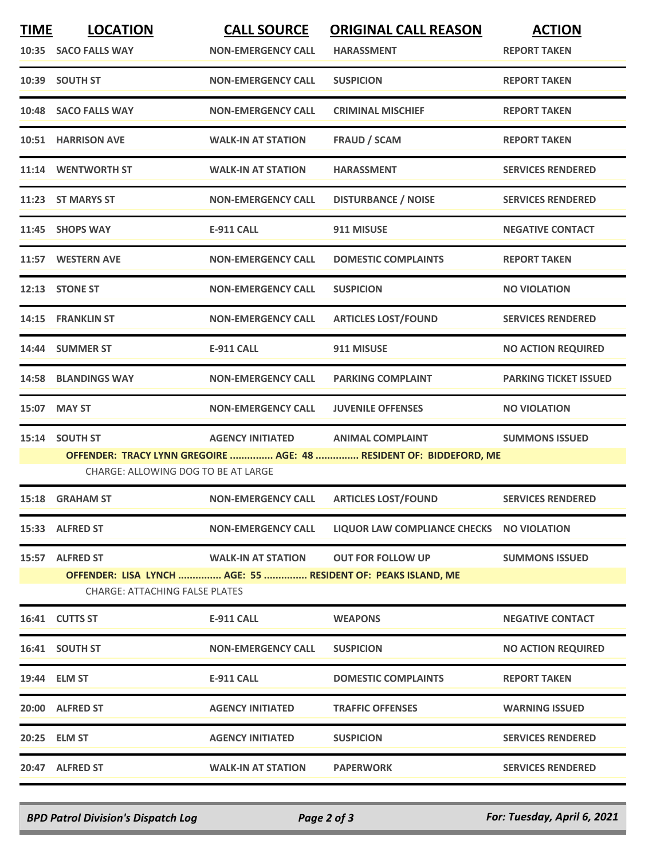| <b>TIME</b> | <b>LOCATION</b>                                                                                           | <b>CALL SOURCE</b>                | <b>ORIGINAL CALL REASON</b>               | <b>ACTION</b>                |  |  |  |
|-------------|-----------------------------------------------------------------------------------------------------------|-----------------------------------|-------------------------------------------|------------------------------|--|--|--|
|             | 10:35 SACO FALLS WAY                                                                                      | <b>NON-EMERGENCY CALL</b>         | <b>HARASSMENT</b>                         | <b>REPORT TAKEN</b>          |  |  |  |
|             | 10:39 SOUTH ST                                                                                            | <b>NON-EMERGENCY CALL</b>         | <b>SUSPICION</b>                          | <b>REPORT TAKEN</b>          |  |  |  |
|             | 10:48 SACO FALLS WAY                                                                                      | <b>NON-EMERGENCY CALL</b>         | <b>CRIMINAL MISCHIEF</b>                  | <b>REPORT TAKEN</b>          |  |  |  |
|             | <b>10:51 HARRISON AVE</b>                                                                                 | <b>WALK-IN AT STATION</b>         | <b>FRAUD / SCAM</b>                       | <b>REPORT TAKEN</b>          |  |  |  |
|             | 11:14 WENTWORTH ST                                                                                        | <b>WALK-IN AT STATION</b>         | <b>HARASSMENT</b>                         | <b>SERVICES RENDERED</b>     |  |  |  |
|             | 11:23 ST MARYS ST                                                                                         | <b>NON-EMERGENCY CALL</b>         | <b>DISTURBANCE / NOISE</b>                | <b>SERVICES RENDERED</b>     |  |  |  |
|             | 11:45 SHOPS WAY                                                                                           | <b>E-911 CALL</b>                 | 911 MISUSE                                | <b>NEGATIVE CONTACT</b>      |  |  |  |
|             | 11:57 WESTERN AVE                                                                                         | <b>NON-EMERGENCY CALL</b>         | <b>DOMESTIC COMPLAINTS</b>                | <b>REPORT TAKEN</b>          |  |  |  |
|             | 12:13 STONE ST                                                                                            | <b>NON-EMERGENCY CALL</b>         | <b>SUSPICION</b>                          | <b>NO VIOLATION</b>          |  |  |  |
|             | 14:15 FRANKLIN ST                                                                                         | <b>NON-EMERGENCY CALL</b>         | <b>ARTICLES LOST/FOUND</b>                | <b>SERVICES RENDERED</b>     |  |  |  |
|             | 14:44 SUMMER ST                                                                                           | <b>E-911 CALL</b>                 | 911 MISUSE                                | <b>NO ACTION REQUIRED</b>    |  |  |  |
|             | <b>14:58 BLANDINGS WAY</b>                                                                                | <b>NON-EMERGENCY CALL</b>         | <b>PARKING COMPLAINT</b>                  | <b>PARKING TICKET ISSUED</b> |  |  |  |
|             | 15:07 MAY ST                                                                                              | <b>NON-EMERGENCY CALL</b>         | <b>JUVENILE OFFENSES</b>                  | <b>NO VIOLATION</b>          |  |  |  |
| 15:14       | <b>SOUTH ST</b>                                                                                           | AGENCY INITIATED ANIMAL COMPLAINT |                                           | <b>SUMMONS ISSUED</b>        |  |  |  |
|             | OFFENDER: TRACY LYNN GREGOIRE  AGE: 48  RESIDENT OF: BIDDEFORD, ME<br>CHARGE: ALLOWING DOG TO BE AT LARGE |                                   |                                           |                              |  |  |  |
|             | 15:18 GRAHAM ST                                                                                           | <b>NON-EMERGENCY CALL</b>         | <b>ARTICLES LOST/FOUND</b>                | <b>SERVICES RENDERED</b>     |  |  |  |
|             | 15:33 ALFRED ST                                                                                           | <b>NON-EMERGENCY CALL</b>         | LIQUOR LAW COMPLIANCE CHECKS NO VIOLATION |                              |  |  |  |
|             | 15:57 ALFRED ST                                                                                           | <b>WALK-IN AT STATION</b>         | <b>OUT FOR FOLLOW UP</b>                  | <b>SUMMONS ISSUED</b>        |  |  |  |
|             | OFFENDER: LISA LYNCH  AGE: 55  RESIDENT OF: PEAKS ISLAND, ME<br><b>CHARGE: ATTACHING FALSE PLATES</b>     |                                   |                                           |                              |  |  |  |
|             | 16:41 CUTTS ST                                                                                            | <b>E-911 CALL</b>                 | <b>WEAPONS</b>                            | <b>NEGATIVE CONTACT</b>      |  |  |  |
|             | 16:41 SOUTH ST                                                                                            | <b>NON-EMERGENCY CALL</b>         | <b>SUSPICION</b>                          | <b>NO ACTION REQUIRED</b>    |  |  |  |
|             | 19:44 ELM ST                                                                                              | <b>E-911 CALL</b>                 | <b>DOMESTIC COMPLAINTS</b>                | <b>REPORT TAKEN</b>          |  |  |  |
|             | 20:00 ALFRED ST                                                                                           | <b>AGENCY INITIATED</b>           | <b>TRAFFIC OFFENSES</b>                   | <b>WARNING ISSUED</b>        |  |  |  |
|             | 20:25 ELM ST                                                                                              | <b>AGENCY INITIATED</b>           | <b>SUSPICION</b>                          | <b>SERVICES RENDERED</b>     |  |  |  |
|             | 20:47 ALFRED ST                                                                                           | <b>WALK-IN AT STATION</b>         | <b>PAPERWORK</b>                          | <b>SERVICES RENDERED</b>     |  |  |  |

*BPD Patrol Division's Dispatch Log Page 2 of 3 For: Tuesday, April 6, 2021*